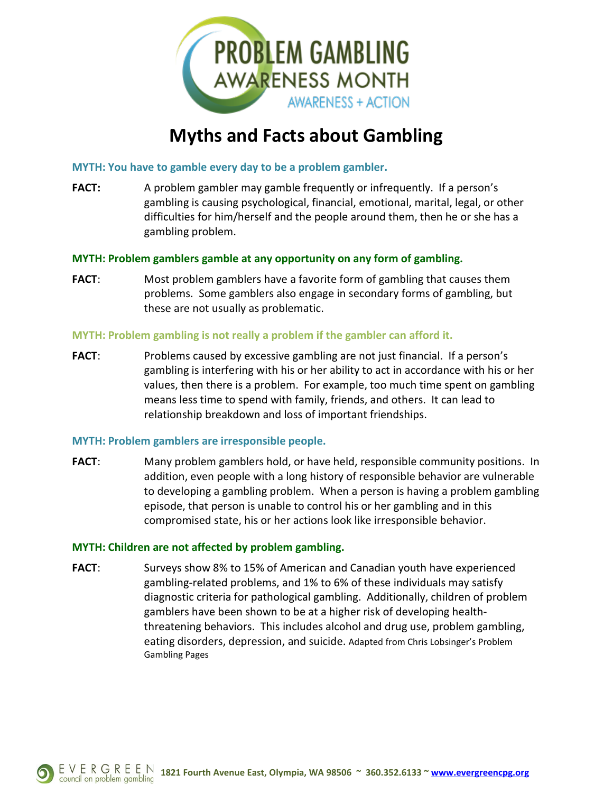

# **Myths and Facts about Gambling**

**MYTH: You have to gamble every day to be a problem gambler.**

**FACT:** A problem gambler may gamble frequently or infrequently. If a person's gambling is causing psychological, financial, emotional, marital, legal, or other difficulties for him/herself and the people around them, then he or she has a gambling problem.

## **MYTH: Problem gamblers gamble at any opportunity on any form of gambling.**

**FACT**: Most problem gamblers have a favorite form of gambling that causes them problems. Some gamblers also engage in secondary forms of gambling, but these are not usually as problematic.

## **MYTH: Problem gambling is not really a problem if the gambler can afford it.**

**FACT**: Problems caused by excessive gambling are not just financial. If a person's gambling is interfering with his or her ability to act in accordance with his or her values, then there is a problem. For example, too much time spent on gambling means less time to spend with family, friends, and others. It can lead to relationship breakdown and loss of important friendships.

#### **MYTH: Problem gamblers are irresponsible people.**

**FACT**: Many problem gamblers hold, or have held, responsible community positions. In addition, even people with a long history of responsible behavior are vulnerable to developing a gambling problem. When a person is having a problem gambling episode, that person is unable to control his or her gambling and in this compromised state, his or her actions look like irresponsible behavior.

#### **MYTH: Children are not affected by problem gambling.**

**FACT:** Surveys show 8% to 15% of American and Canadian youth have experienced gambling-related problems, and 1% to 6% of these individuals may satisfy diagnostic criteria for pathological gambling. Additionally, children of problem gamblers have been shown to be at a higher risk of developing healththreatening behaviors. This includes alcohol and drug use, problem gambling, eating disorders, depression, and suicide. Adapted from Chris Lobsinger's Problem Gambling Pages